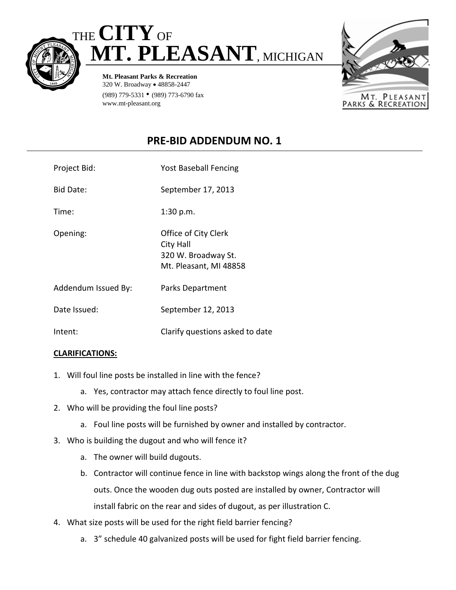



**Mt. Pleasant Parks & Recreation** 320 W. Broadway • 48858-2447 (989) 779-5331 • (989) 773-6790 fax www.mt-pleasant.org



## **PRE-BID ADDENDUM NO. 1**

| Project Bid:        | <b>Yost Baseball Fencing</b>                                                              |
|---------------------|-------------------------------------------------------------------------------------------|
| Bid Date:           | September 17, 2013                                                                        |
| Time:               | 1:30 p.m.                                                                                 |
| Opening:            | Office of City Clerk<br><b>City Hall</b><br>320 W. Broadway St.<br>Mt. Pleasant, MI 48858 |
| Addendum Issued By: | Parks Department                                                                          |
| Date Issued:        | September 12, 2013                                                                        |
| Intent:             | Clarify questions asked to date                                                           |

## **CLARIFICATIONS:**

- 1. Will foul line posts be installed in line with the fence?
	- a. Yes, contractor may attach fence directly to foul line post.
- 2. Who will be providing the foul line posts?
	- a. Foul line posts will be furnished by owner and installed by contractor.
- 3. Who is building the dugout and who will fence it?
	- a. The owner will build dugouts.
	- b. Contractor will continue fence in line with backstop wings along the front of the dug outs. Once the wooden dug outs posted are installed by owner, Contractor will install fabric on the rear and sides of dugout, as per illustration C.
- 4. What size posts will be used for the right field barrier fencing?
	- a. 3" schedule 40 galvanized posts will be used for fight field barrier fencing.